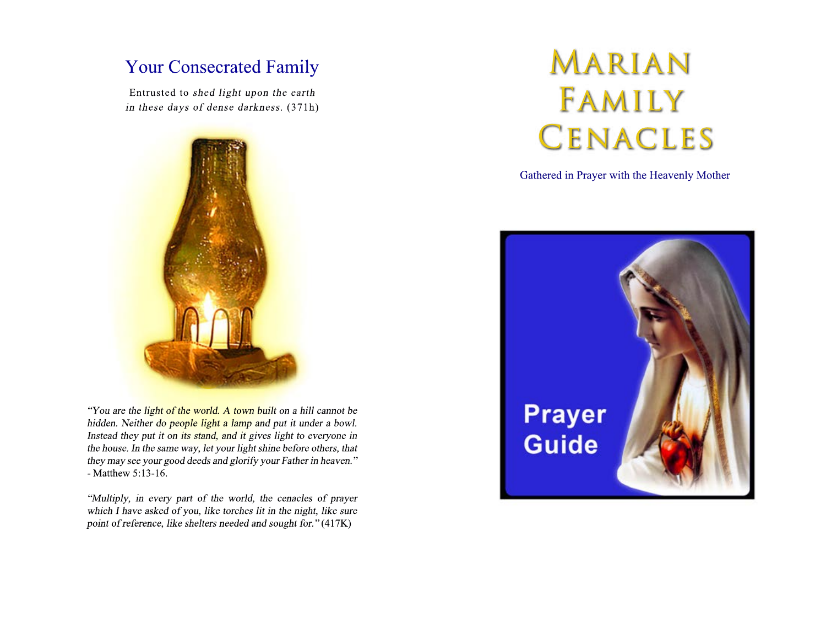## Your Consecrated Family

Entrusted to shed light upon the earth in these days of dense darkness. (371h)



"You are the light of the world. A town built on a hill cannot be hidden. Neither do people light a lamp and put it under a bowl. Instead they put it on its stand, and it gives light to everyone in the house. In the same way, let your light shine before others, that they may see your good deeds and glorify your Father in heaven." - Matthew 5:13-16.

"Multiply, in every part of the world, the cenacles of prayer which I have asked of you, like torches lit in the night, like sure point of reference, like shelters needed and sought for." (417K)

# MARIAN FAMILY CENACLES

Gathered in Prayer with the Heavenly Mother

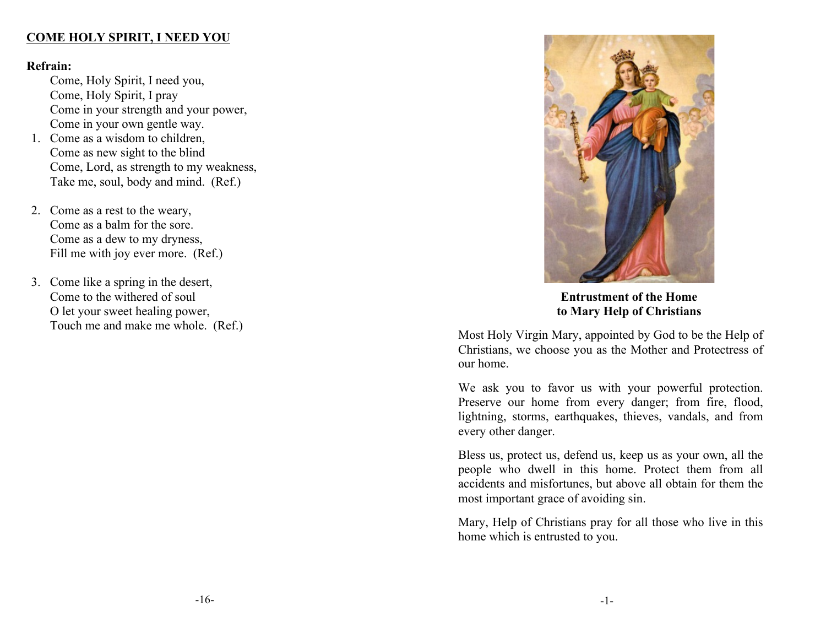## **COME HOLY SPIRIT, I NEED YOU**

### **Refrain:**

Come, Holy Spirit, I need you, Come, Holy Spirit, I pray Come in your strength and your power, Come in your own gentle way.

- 1. Come as a wisdom to children, Come as new sight to the blind Come, Lord, as strength to my weakness, Take me, soul, body and mind. (Ref.)
- 2. Come as a rest to the weary, Come as a balm for the sore. Come as a dew to my dryness, Fill me with joy ever more. (Ref.)
- 3. Come like a spring in the desert, Come to the withered of soul O let your sweet healing power, Touch me and make me whole. (Ref.)



**Entrustment of the Home to Mary Help of Christians**

Most Holy Virgin Mary, appointed by God to be the Help of Christians, we choose you as the Mother and Protectress of our home.

We ask you to favor us with your powerful protection. Preserve our home from every danger; from fire, flood, lightning, storms, earthquakes, thieves, vandals, and from every other danger.

Bless us, protect us, defend us, keep us as your own, all the people who dwell in this home. Protect them from all accidents and misfortunes, but above all obtain for them the most important grace of avoiding sin.

Mary, Help of Christians pray for all those who live in this home which is entrusted to you.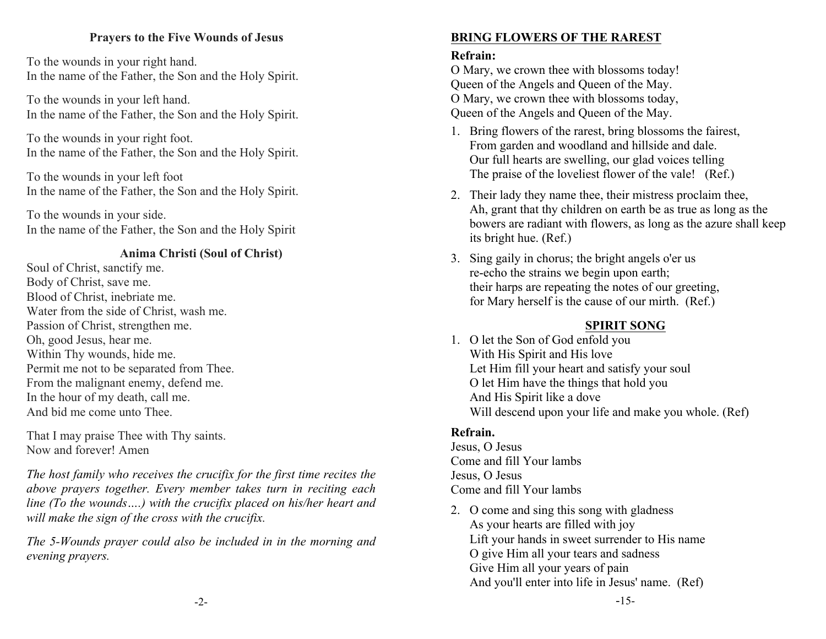## **Prayers to the Five Wounds of Jesus**

To the wounds in your right hand. In the name of the Father, the Son and the Holy Spirit.

To the wounds in your left hand. In the name of the Father, the Son and the Holy Spirit.

To the wounds in your right foot. In the name of the Father, the Son and the Holy Spirit.

To the wounds in your left foot In the name of the Father, the Son and the Holy Spirit.

To the wounds in your side. In the name of the Father, the Son and the Holy Spirit

## **Anima Christi (Soul of Christ)**

Soul of Christ, sanctify me. Body of Christ, save me. Blood of Christ, inebriate me. Water from the side of Christ, wash me. Passion of Christ, strengthen me. Oh, good Jesus, hear me. Within Thy wounds, hide me. Permit me not to be separated from Thee. From the malignant enemy, defend me. In the hour of my death, call me. And bid me come unto Thee.

That I may praise Thee with Thy saints. Now and forever! Amen

*The host family who receives the crucifix for the first time recites the above prayers together. Every member takes turn in reciting each line (To the wounds….) with the crucifix placed on his/her heart and will make the sign of the cross with the crucifix.*

*The 5-Wounds prayer could also be included in in the morning and evening prayers.*

## **BRING FLOWERS OF THE RAREST**

## **Refrain:**

O Mary, we crown thee with blossoms today! Queen of the Angels and Queen of the May. O Mary, we crown thee with blossoms today, Queen of the Angels and Queen of the May.

- 1. Bring flowers of the rarest, bring blossoms the fairest, From garden and woodland and hillside and dale. Our full hearts are swelling, our glad voices telling The praise of the loveliest flower of the vale! (Ref.)
- 2. Their lady they name thee, their mistress proclaim thee, Ah, grant that thy children on earth be as true as long as the bowers are radiant with flowers, as long as the azure shall keep its bright hue. (Ref.)
- 3. Sing gaily in chorus; the bright angels o'er us re-echo the strains we begin upon earth; their harps are repeating the notes of our greeting, for Mary herself is the cause of our mirth. (Ref.)

## **SPIRIT SONG**

1. O let the Son of God enfold you With His Spirit and His love Let Him fill your heart and satisfy your soul O let Him have the things that hold you And His Spirit like a dove Will descend upon your life and make you whole. (Ref)

## **Refrain.**

Jesus, O Jesus Come and fill Your lambs Jesus, O Jesus Come and fill Your lambs

2. O come and sing this song with gladness As your hearts are filled with joy Lift your hands in sweet surrender to His name O give Him all your tears and sadness Give Him all your years of pain And you'll enter into life in Jesus' name. (Ref)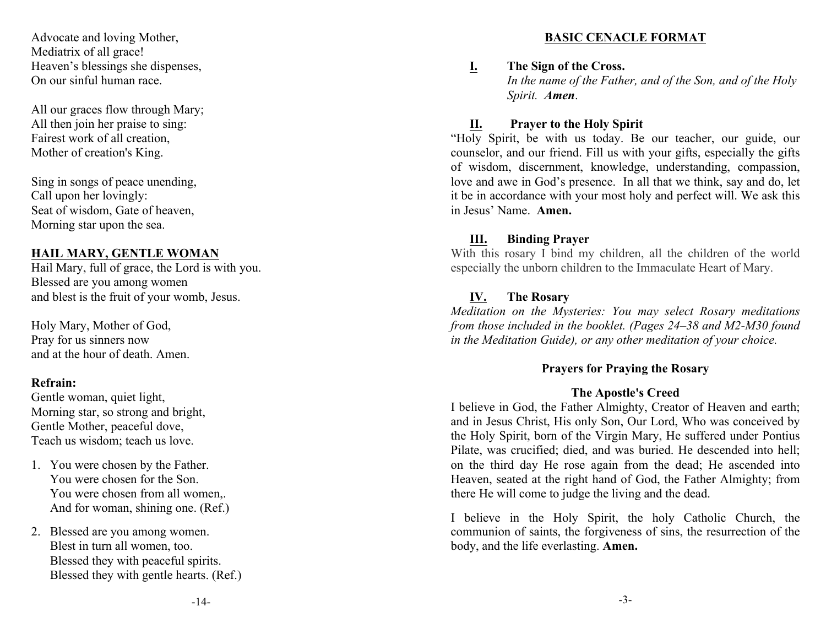Advocate and loving Mother, Mediatrix of all grace! Heaven's blessings she dispenses, On our sinful human race.

All our graces flow through Mary; All then join her praise to sing: Fairest work of all creation, Mother of creation's King.

Sing in songs of peace unending, Call upon her lovingly: Seat of wisdom, Gate of heaven, Morning star upon the sea.

## **HAIL MARY, GENTLE WOMAN**

Hail Mary, full of grace, the Lord is with you. Blessed are you among women and blest is the fruit of your womb, Jesus.

Holy Mary, Mother of God, Pray for us sinners now and at the hour of death. Amen.

## **Refrain:**

Gentle woman, quiet light, Morning star, so strong and bright, Gentle Mother, peaceful dove, Teach us wisdom; teach us love.

- 1. You were chosen by the Father. You were chosen for the Son. You were chosen from all women,. And for woman, shining one. (Ref.)
- 2. Blessed are you among women. Blest in turn all women, too. Blessed they with peaceful spirits. Blessed they with gentle hearts. (Ref.)

## **BASIC CENACLE FORMAT**

**I. The Sign of the Cross.**

*In the name of the Father, and of the Son, and of the Holy Spirit. Amen* .

#### **II. Prayer to the Holy Spirit**

"Holy Spirit, be with us today. Be our teacher, our guide, our counselor, and our friend. Fill us with your gifts, especially the gifts of wisdom, discernment, knowledge, understanding, compassion, love and awe in God's presence. In all that we think, say and do, let it be in accordance with your most holy and perfect will. We ask this in Jesus' Name. **Amen.**

## **III. Binding Prayer**

With this rosary I bind my children, all the children of the world especially the unborn children to the Immaculate Heart of Mary.

## **IV. The Rosary**

*Meditation on the Mysteries: You may select Rosary meditations from those included in the booklet. (Pages 24 –38 and M2 -M30 found in the Meditation Guide), or any other meditation of your choice.*

## **Prayers for Praying the Rosary**

### **The Apostle's Creed**

I believe in God, the Father Almighty, Creator of Heaven and earth; and in Jesus Christ, His only Son, Our Lord, Who was conceived by the Holy Spirit, born of the Virgin Mary, He suffered under Pontius Pilate, was crucified; died, and was buried. He descended into hell; on the third day He rose again from the dead; He ascended into Heaven, seated at the right hand of God, the Father Almighty; from there He will come to judge the living and the dead.

I believe in the Holy Spirit, the holy Catholic Church, the communion of saints, the forgiveness of sins, the resurrection of the body, and the life everlasting. **Amen.**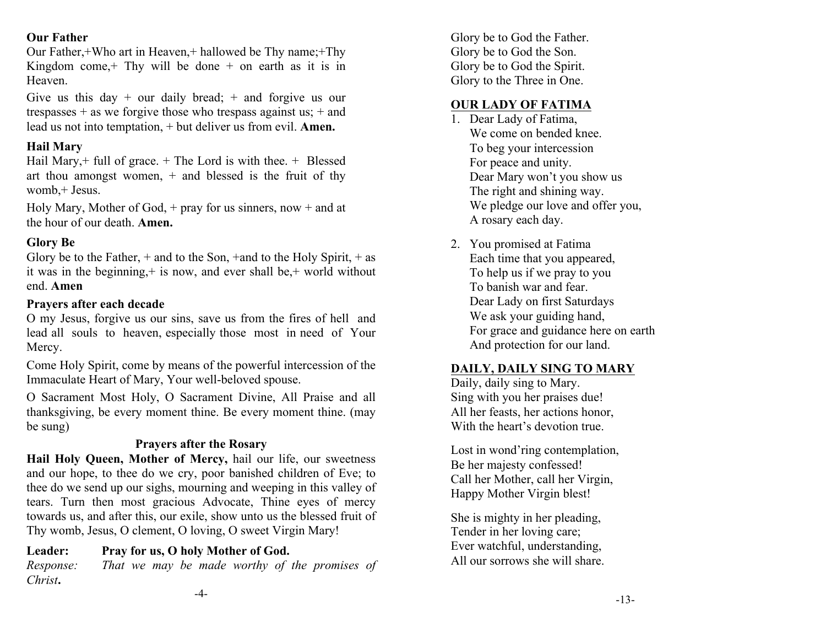## **Our Father**

Our Father,+Who art in Heaven,+ hallowed be Thy name;+Thy Kingdom come, $+$  Thy will be done  $+$  on earth as it is in Heaven.

Give us this day + our daily bread;  $+$  and forgive us our trespasses  $+$  as we forgive those who trespass against us;  $+$  and lead us not into temptation, + but deliver us from evil. **Amen.**

## **Hail Mary**

Hail Mary, $+$  full of grace.  $+$  The Lord is with thee.  $+$  Blessed art thou amongst women, + and blessed is the fruit of thy womb,+ Jesus.

Holy Mary, Mother of God,  $+$  pray for us sinners, now  $+$  and at the hour of our death. **Amen.**

## **Glory Be**

Glory be to the Father,  $+$  and to the Son,  $+$ and to the Holy Spirit,  $+$  as it was in the beginning,+ is now, and ever shall be,+ world without end. **Amen**

## **Prayers after each decade**

O my Jesus, forgive us our sins, save us from the fires of hell and lead all souls to heaven, especially those most in need of Your Mercy.

Come Holy Spirit, come by means of the powerful intercession of the Immaculate Heart of Mary, Your well-beloved spouse.

O Sacrament Most Holy, O Sacrament Divine, All Praise and all thanksgiving, be every moment thine. Be every moment thine. (may be sung)

## **Prayers after the Rosary**

**Hail Holy Queen, Mother of Mercy,** hail our life, our sweetness and our hope, to thee do we cry, poor banished children of Eve; to thee do we send up our sighs, mourning and weeping in this valley of tears. Turn then most gracious Advocate, Thine eyes of mercy towards us, and after this, our exile, show unto us the blessed fruit of Thy womb, Jesus, O clement, O loving, O sweet Virgin Mary!

**Leader: Pray for us, O holy Mother of God.**

*Response: That we may be made worthy of the promises of Christ***.**

Glory be to God the Father. Glory be to God the Son. Glory be to God the Spirit. Glory to the Three in One.

## **OUR LADY OF FATIMA**

- 1. Dear Lady of Fatima, We come on bended knee. To beg your intercession For peace and unity. Dear Mary won't you show us The right and shining way. We pledge our love and offer you, A rosary each day.
- 2. You promised at Fatima Each time that you appeared, To help us if we pray to you To banish war and fear. Dear Lady on first Saturdays We ask your guiding hand, For grace and guidance here on earth And protection for our land.

## **DAILY, DAILY SING TO MARY**

Daily, daily sing to Mary. Sing with you her praises due! All her feasts, her actions honor, With the heart's devotion true.

Lost in wond'ring contemplation, Be her majesty confessed! Call her Mother, call her Virgin, Happy Mother Virgin blest!

She is mighty in her pleading, Tender in her loving care; Ever watchful, understanding, All our sorrows she will share.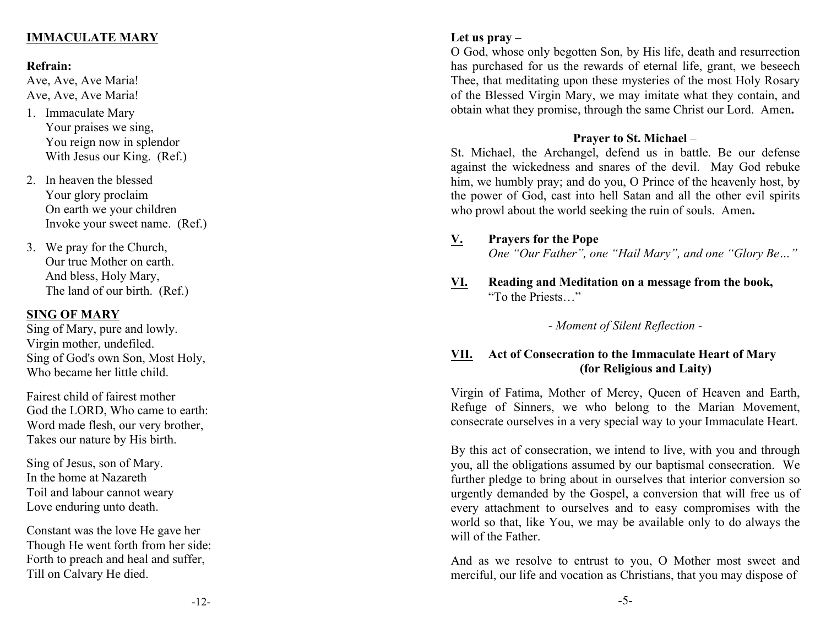## **IMMACULATE MARY**

#### **Refrain:**

Ave, Ave, Ave Maria! Ave, Ave, Ave Maria!

- 1. Immaculate Mary Your praises we sing, You reign now in splendor With Jesus our King. (Ref.)
- 2. In heaven the blessed Your glory proclaim On earth we your children Invoke your sweet name. (Ref.)
- 3. We pray for the Church, Our true Mother on earth. And bless, Holy Mary, The land of our birth. (Ref.)

## **SING OF MARY**

Sing of Mary, pure and lowly. Virgin mother, undefiled. Sing of God's own Son, Most Holy, Who became her little child.

Fairest child of fairest mother God the LORD, Who came to earth: Word made flesh, our very brother, Takes our nature by His birth.

Sing of Jesus, son of Mary. In the home at Nazareth Toil and labour cannot weary Love enduring unto death.

Constant was the love He gave her Though He went forth from her side: Forth to preach and heal and suffer, Till on Calvary He died.

## **Let us pray –**

O God, whose only begotten Son, by His life, death and resurrection has purchased for us the rewards of eternal life, grant, we beseech Thee, that meditating upon these mysteries of the most Holy Rosary of the Blessed Virgin Mary, we may imitate what they contain, and obtain what they promise, through the same Christ our Lord. Amen **.**

#### **Prayer to St. Michael** *–*

St. Michael, the Archangel, defend us in battle. Be our defense against the wickedness and snares of the devil. May God rebuke him, we humbly pray; and do you, O Prince of the heavenly host, by the power of God, cast into hell Satan and all the other evil spirits who prowl about the world seeking the ruin of souls. Amen **.**

## **V. Prayers for the Pope**

*One "Our Father", one "Hail Mary", and one "Glory Be…"*

**VI. Reading and Meditation on a message from the book,** "To the Priests…"

*- Moment of Silent Reflection -*

## **VII. Act of Consecration to the Immaculate Heart of Mary (for Religious and Laity)**

Virgin of Fatima, Mother of Mercy, Queen of Heaven and Earth, Refuge of Sinners, we who belong to the Marian Movement, consecrate ourselves in a very special way to your Immaculate Heart.

By this act of consecration, we intend to live, with you and through you, all the obligations assumed by our baptismal consecration. We further pledge to bring about in ourselves that interior conversion so urgently demanded by the Gospel, a conversion that will free us of every attachment to ourselves and to easy compromises with the world so that, like You, we may be available only to do always the will of the Father.

And as we resolve to entrust t o you, O Mother most sweet and merciful, our life and vocation as Christians, tha t you may dispos e of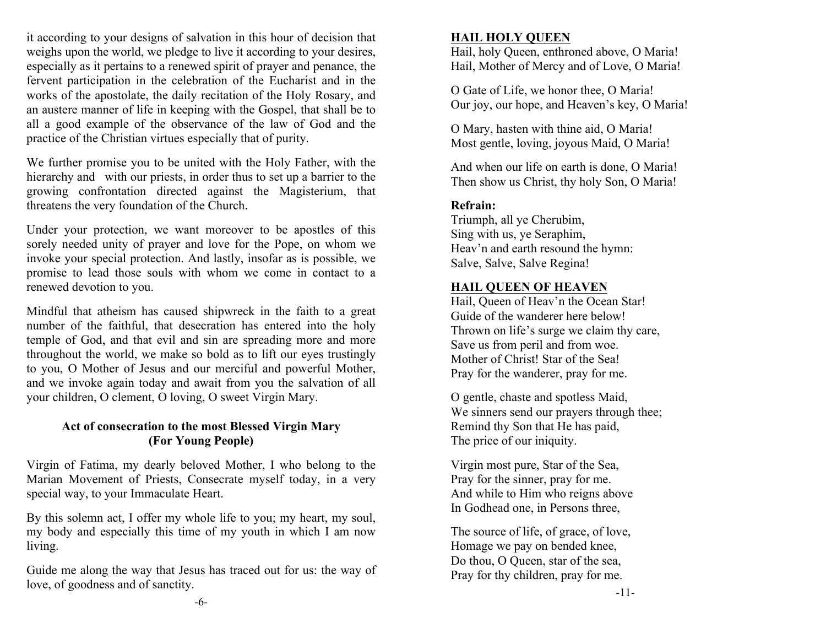it according to your designs of salvation in this hour of decision that weighs upon the world, we pledge to live it according to your desires, especially as it pertains to a renewed spirit of prayer and penance, the fervent participation in the celebration of the Eucharist and in the works of the apostolate, the daily recitation of the Holy Rosary, and an austere manner of life in keeping with the Gospel, that shall be to all a good example of the observance of the law of God and the practice of the Christian virtues especially that of purity.

We further promise you to be united with the Holy Father, with the hierarchy and with our priests, in order thus to set up a barrier to the growing confrontation directed against the Magisterium, that threatens the very foundation of the Church.

Under your protection, we want moreover to be apostles of this sorely needed unity of prayer and love for the Pope, on whom we invoke your special protection. And lastly, insofar as is possible, we promise to lead those souls with whom we come in contact to a renewed devotion to you.

Mindful that atheism has caused shipwreck in the faith to a great number of the faithful, that desecration has entered into the holy temple of God, and that evil and sin are spreading more and more throughout the world, we make so bold as to lift our eyes trustingly to you, O Mother of Jesus and our merciful and powerful Mother, and we invoke again today and await from you the salvation of all your children, O clement, O loving, O sweet Virgin Mary.

## **Act of consecration to the most Blessed Virgin Mary (For Young People)**

Virgin of Fatima, my dearly beloved Mother, I who belong to the Marian Movement of Priests, Consecrate myself today, in a very special way, to your Immaculate Heart.

By this solemn act, I offer my whole life to you; my heart, my soul, my body and especially this time of my youth in which I am now living.

Guide me along the way that Jesus has traced out for us: the way of love, of goodness and of sanctity.

## **HAIL HOLY QUEEN**

Hail, holy Queen, enthroned above, O Maria! Hail, Mother of Mercy and of Love, O Maria!

O Gate of Life, we honor thee, O Maria! Our joy, our hope, and Heaven's key, O Maria!

O Mary, hasten with thine aid, O Maria! Most gentle, loving, joyous Maid, O Maria!

And when our life on earth is done, O Maria! Then show us Christ, thy holy Son, O Maria!

## **Refrain:**

Triumph, all ye Cherubim, Sing with us, ye Seraphim, Heav'n and earth resound the hymn: Salve, Salve, Salve Regina!

## **HAIL QUEEN OF HEAVEN**

Hail, Queen of Heav'n the Ocean Star! Guide of the wanderer here below! Thrown on life's surge we claim thy care, Save us from peril and from woe. Mother of Christ! Star of the Sea! Pray for the wanderer, pray for me.

O gentle, chaste and spotless Maid, We sinners send our prayers through thee; Remind thy Son that He has paid, The price of our iniquity.

Virgin most pure, Star of the Sea, Pray for the sinner, pray for me. And while to Him who reigns above In Godhead one, in Persons three,

The source of life, of grace, of love, Homage we pay on bended knee, Do thou, O Queen, star of the sea, Pray for thy children, pray for me.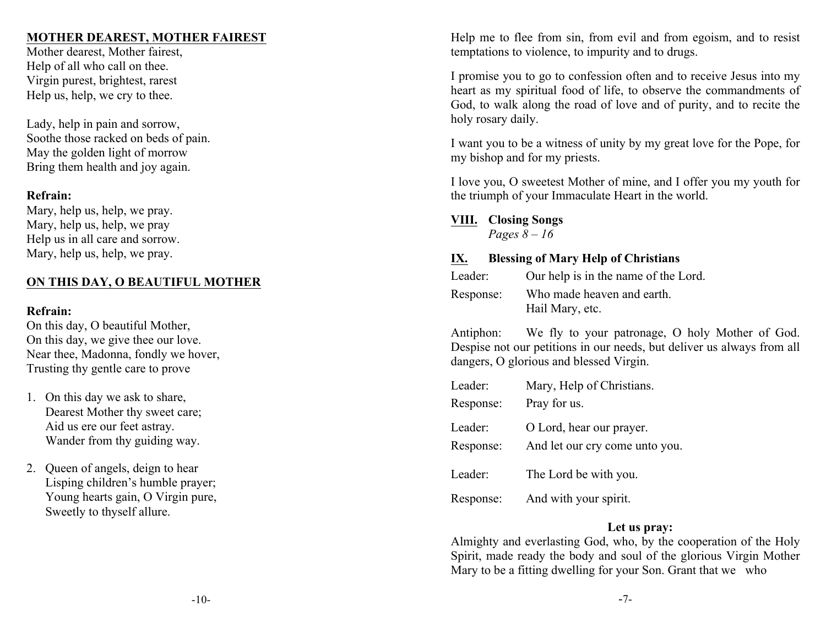## **MOTHER DEAREST, MOTHER FAIREST**

Mother dearest, Mother fairest, Help of all who call on thee. Virgin purest, brightest, rarest Help us, help, we cry to thee.

Lady, help in pain and sorrow, Soothe those racked on beds of pain. May the golden light of morrow Bring them health and joy again.

## **Refrain:**

Mary, help us, help, we pray. Mary, help us, help, we pray Help us in all care and sorrow. Mary, help us, help, we pray.

## **ON THIS DAY, O BEAUTIFUL MOTHER**

## **Refrain:**

On this day, O beautiful Mother, On this day, we give thee our love. Near thee, Madonna, fondly we hover, Trusting thy gentle care to prove

- 1. On this day we ask to share, Dearest Mother thy sweet care; Aid us ere our feet astray. Wander from thy guiding way.
- 2. Queen of angels, deign to hear Lisping children's humble prayer; Young hearts gain, O Virgin pure, Sweetly to thyself allure.

Help me to flee from sin, from evil and from egoism, and to resist temptations to violence, to impurity and to drugs.

I promise you to go to confession often and to receive Jesus into my heart as my spiritual food of life, to observe the commandments of God, to walk along the road of love and of purity, and to recite the holy rosary daily.

I want you to be a witness of unity by my great love for the Pope, for my bishop and for my priests.

I love you, O sweetest Mother of mine, and I offer you my youth for the triumph of your Immaculate Heart in the world .

## **VIII. Closing Songs**

*Pages 8 – 16*

## **IX. Blessing of Mary Help of Christians**

Leader: Our help is in the name of the Lord. Response: Who made heaven and earth. Hail Mary, etc.

Antiphon: We fly to your patronage, O holy Mother of God. Despise not our petitions in our needs, but deliver us always from all dangers, O glorious and blessed Virgin.

| Leader:              | Mary, Help of Christians.                                  |
|----------------------|------------------------------------------------------------|
| Response:            | Pray for us.                                               |
| Leader:<br>Response: | O Lord, hear our prayer.<br>And let our cry come unto you. |
| Leader:              | The Lord be with you.                                      |
| Response:            | And with your spirit.                                      |

## **Let us pray:**

Almighty and everlasting God, who, by the cooperation of the Holy Spirit, made ready the body and soul of the glorious Virgin Mother Mary to be a fitting dwelling for your Son. Grant that we who  $-7$ -